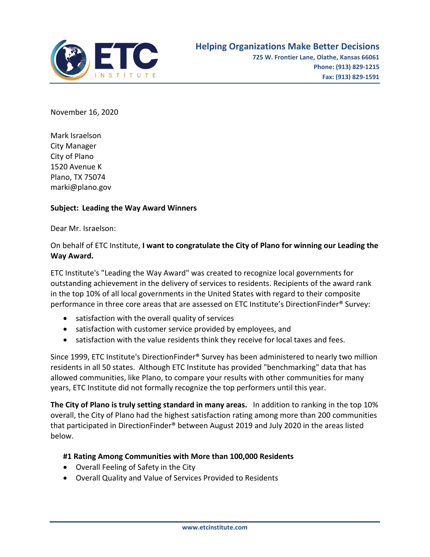

November 16, 2020

Mark Israelson City Manager City of Plano 1520 Avenue K Plano, TX 75074 marki@plano.gov

## **Subject: Leading the Way Award Winners**

Dear Mr. Israelson:

## On behalf of ETC Institute, **I want to congratulate the City of Plano for winning our Leading the Way Award.**

ETC Institute's "Leading the Way Award" was created to recognize local governments for outstanding achievement in the delivery of services to residents. Recipients of the award rank in the top 10% of all local governments in the United States with regard to their composite performance in three core areas that are assessed on ETC Institute's DirectionFinder® Survey:

- satisfaction with the overall quality of services
- satisfaction with customer service provided by employees, and
- satisfaction with the value residents think they receive for local taxes and fees.

Since 1999, ETC Institute's DirectionFinder® Survey has been administered to nearly two million residents in all 50 states. Although ETC Institute has provided "benchmarking" data that has allowed communities, like Plano, to compare your results with other communities for many years, ETC Institute did not formally recognize the top performers until this year.

**The City of Plano is truly setting standard in many areas.** In addition to ranking in the top 10% overall, the City of Plano had the highest satisfaction rating among more than 200 communities that participated in DirectionFinder® between August 2019 and July 2020 in the areas listed below.

## **#1 Rating Among Communities with More than 100,000 Residents**

- Overall Feeling of Safety in the City
- Overall Quality and Value of Services Provided to Residents